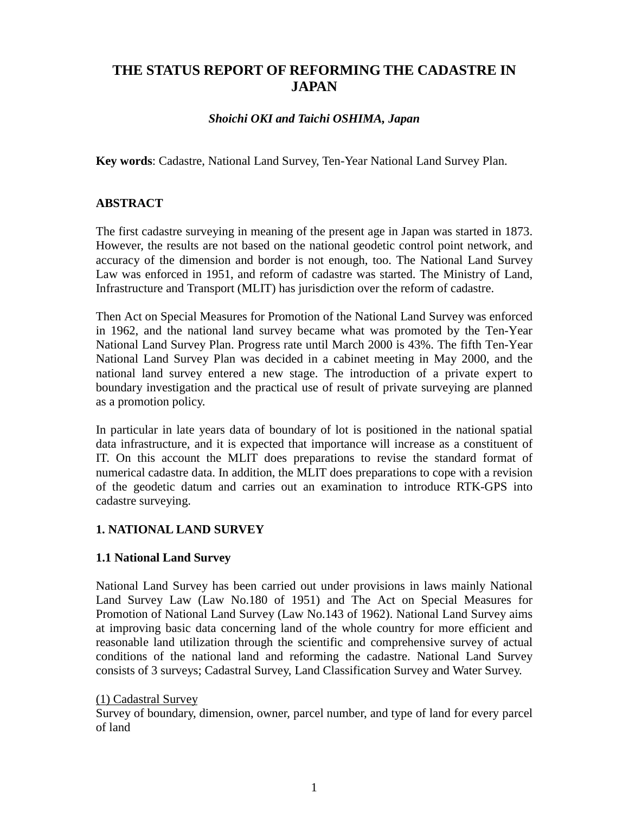# **THE STATUS REPORT OF REFORMING THE CADASTRE IN JAPAN**

#### *Shoichi OKI and Taichi OSHIMA, Japan*

**Key words**: Cadastre, National Land Survey, Ten-Year National Land Survey Plan.

## **ABSTRACT**

The first cadastre surveying in meaning of the present age in Japan was started in 1873. However, the results are not based on the national geodetic control point network, and accuracy of the dimension and border is not enough, too. The National Land Survey Law was enforced in 1951, and reform of cadastre was started. The Ministry of Land, Infrastructure and Transport (MLIT) has jurisdiction over the reform of cadastre.

Then Act on Special Measures for Promotion of the National Land Survey was enforced in 1962, and the national land survey became what was promoted by the Ten-Year National Land Survey Plan. Progress rate until March 2000 is 43%. The fifth Ten-Year National Land Survey Plan was decided in a cabinet meeting in May 2000, and the national land survey entered a new stage. The introduction of a private expert to boundary investigation and the practical use of result of private surveying are planned as a promotion policy.

In particular in late years data of boundary of lot is positioned in the national spatial data infrastructure, and it is expected that importance will increase as a constituent of IT. On this account the MLIT does preparations to revise the standard format of numerical cadastre data. In addition, the MLIT does preparations to cope with a revision of the geodetic datum and carries out an examination to introduce RTK-GPS into cadastre surveying.

#### **1. NATIONAL LAND SURVEY**

#### **1.1 National Land Survey**

National Land Survey has been carried out under provisions in laws mainly National Land Survey Law (Law No.180 of 1951) and The Act on Special Measures for Promotion of National Land Survey (Law No.143 of 1962). National Land Survey aims at improving basic data concerning land of the whole country for more efficient and reasonable land utilization through the scientific and comprehensive survey of actual conditions of the national land and reforming the cadastre. National Land Survey consists of 3 surveys; Cadastral Survey, Land Classification Survey and Water Survey.

#### (1) Cadastral Survey

Survey of boundary, dimension, owner, parcel number, and type of land for every parcel of land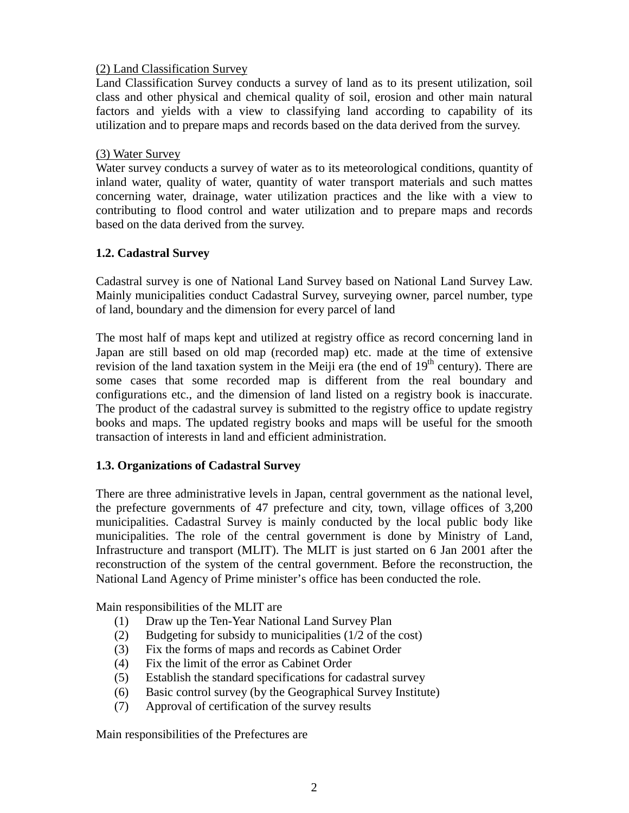## (2) Land Classification Survey

Land Classification Survey conducts a survey of land as to its present utilization, soil class and other physical and chemical quality of soil, erosion and other main natural factors and yields with a view to classifying land according to capability of its utilization and to prepare maps and records based on the data derived from the survey.

#### (3) Water Survey

Water survey conducts a survey of water as to its meteorological conditions, quantity of inland water, quality of water, quantity of water transport materials and such mattes concerning water, drainage, water utilization practices and the like with a view to contributing to flood control and water utilization and to prepare maps and records based on the data derived from the survey.

## **1.2. Cadastral Survey**

Cadastral survey is one of National Land Survey based on National Land Survey Law. Mainly municipalities conduct Cadastral Survey, surveying owner, parcel number, type of land, boundary and the dimension for every parcel of land

The most half of maps kept and utilized at registry office as record concerning land in Japan are still based on old map (recorded map) etc. made at the time of extensive revision of the land taxation system in the Meiji era (the end of  $19<sup>th</sup>$  century). There are some cases that some recorded map is different from the real boundary and configurations etc., and the dimension of land listed on a registry book is inaccurate. The product of the cadastral survey is submitted to the registry office to update registry books and maps. The updated registry books and maps will be useful for the smooth transaction of interests in land and efficient administration.

## **1.3. Organizations of Cadastral Survey**

There are three administrative levels in Japan, central government as the national level, the prefecture governments of 47 prefecture and city, town, village offices of 3,200 municipalities. Cadastral Survey is mainly conducted by the local public body like municipalities. The role of the central government is done by Ministry of Land, Infrastructure and transport (MLIT). The MLIT is just started on 6 Jan 2001 after the reconstruction of the system of the central government. Before the reconstruction, the National Land Agency of Prime minister's office has been conducted the role.

Main responsibilities of the MLIT are

- (1) Draw up the Ten-Year National Land Survey Plan
- (2) Budgeting for subsidy to municipalities (1/2 of the cost)
- (3) Fix the forms of maps and records as Cabinet Order
- (4) Fix the limit of the error as Cabinet Order
- (5) Establish the standard specifications for cadastral survey
- (6) Basic control survey (by the Geographical Survey Institute)
- (7) Approval of certification of the survey results

Main responsibilities of the Prefectures are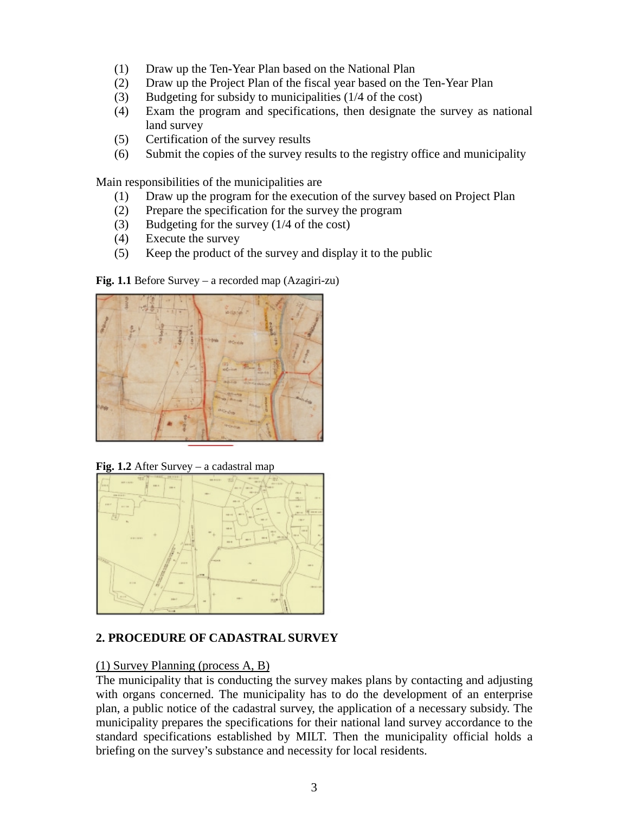- (1) Draw up the Ten-Year Plan based on the National Plan
- (2) Draw up the Project Plan of the fiscal year based on the Ten-Year Plan
- (3) Budgeting for subsidy to municipalities (1/4 of the cost)
- (4) Exam the program and specifications, then designate the survey as national land survey
- (5) Certification of the survey results
- (6) Submit the copies of the survey results to the registry office and municipality

Main responsibilities of the municipalities are

- (1) Draw up the program for the execution of the survey based on Project Plan
- (2) Prepare the specification for the survey the program
- (3) Budgeting for the survey (1/4 of the cost)
- (4) Execute the survey
- (5) Keep the product of the survey and display it to the public

**Fig. 1.1** Before Survey – a recorded map (Azagiri-zu)



**Fig. 1.2** After Survey – a cadastral map



## **2. PROCEDURE OF CADASTRAL SURVEY**

## (1) Survey Planning (process A, B)

The municipality that is conducting the survey makes plans by contacting and adjusting with organs concerned. The municipality has to do the development of an enterprise plan, a public notice of the cadastral survey, the application of a necessary subsidy. The municipality prepares the specifications for their national land survey accordance to the standard specifications established by MILT. Then the municipality official holds a briefing on the survey's substance and necessity for local residents.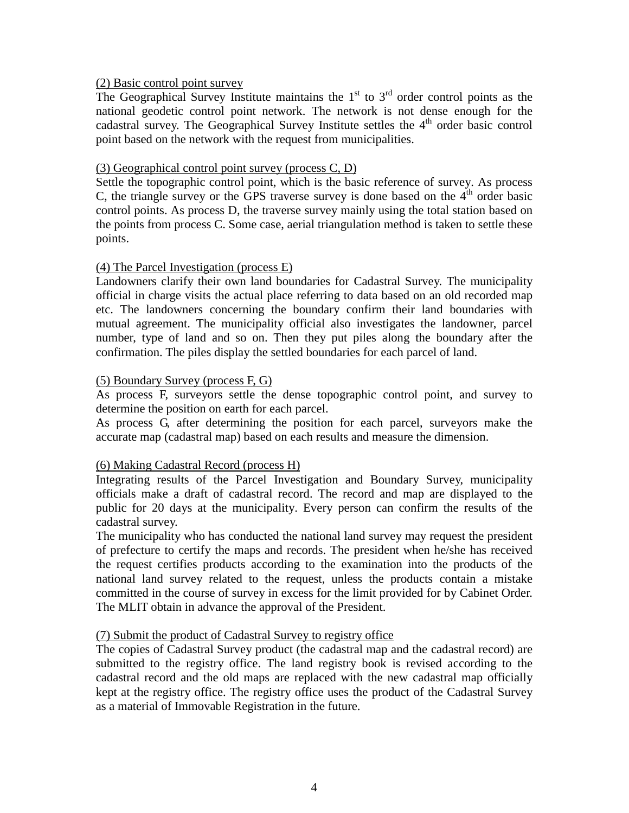#### (2) Basic control point survey

The Geographical Survey Institute maintains the  $1<sup>st</sup>$  to  $3<sup>rd</sup>$  order control points as the national geodetic control point network. The network is not dense enough for the cadastral survey. The Geographical Survey Institute settles the  $4<sup>th</sup>$  order basic control point based on the network with the request from municipalities.

#### (3) Geographical control point survey (process C, D)

Settle the topographic control point, which is the basic reference of survey. As process C, the triangle survey or the GPS traverse survey is done based on the  $4<sup>th</sup>$  order basic control points. As process D, the traverse survey mainly using the total station based on the points from process C. Some case, aerial triangulation method is taken to settle these points.

#### (4) The Parcel Investigation (process E)

Landowners clarify their own land boundaries for Cadastral Survey. The municipality official in charge visits the actual place referring to data based on an old recorded map etc. The landowners concerning the boundary confirm their land boundaries with mutual agreement. The municipality official also investigates the landowner, parcel number, type of land and so on. Then they put piles along the boundary after the confirmation. The piles display the settled boundaries for each parcel of land.

### (5) Boundary Survey (process F, G)

As process F, surveyors settle the dense topographic control point, and survey to determine the position on earth for each parcel.

As process G, after determining the position for each parcel, surveyors make the accurate map (cadastral map) based on each results and measure the dimension.

#### (6) Making Cadastral Record (process H)

Integrating results of the Parcel Investigation and Boundary Survey, municipality officials make a draft of cadastral record. The record and map are displayed to the public for 20 days at the municipality. Every person can confirm the results of the cadastral survey.

The municipality who has conducted the national land survey may request the president of prefecture to certify the maps and records. The president when he/she has received the request certifies products according to the examination into the products of the national land survey related to the request, unless the products contain a mistake committed in the course of survey in excess for the limit provided for by Cabinet Order. The MLIT obtain in advance the approval of the President.

#### (7) Submit the product of Cadastral Survey to registry office

The copies of Cadastral Survey product (the cadastral map and the cadastral record) are submitted to the registry office. The land registry book is revised according to the cadastral record and the old maps are replaced with the new cadastral map officially kept at the registry office. The registry office uses the product of the Cadastral Survey as a material of Immovable Registration in the future.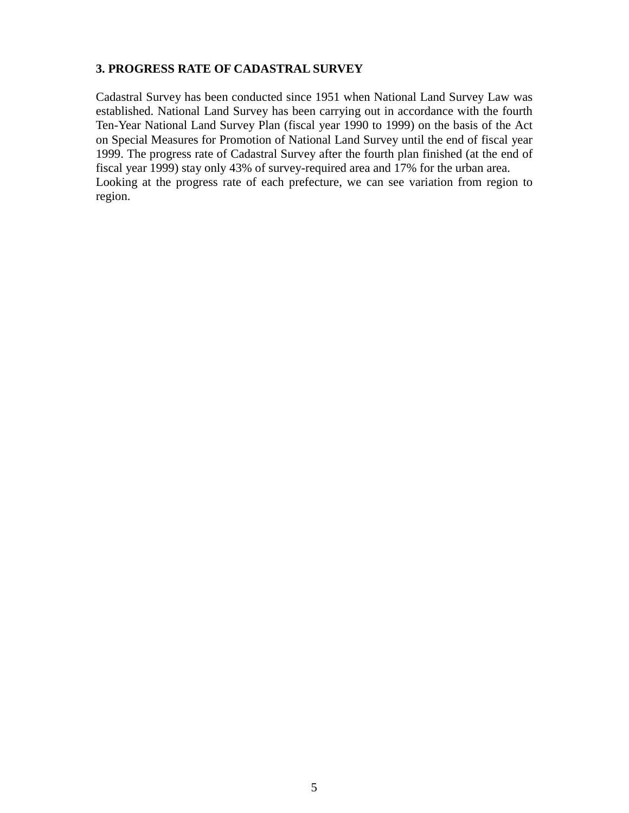## **3. PROGRESS RATE OF CADASTRAL SURVEY**

Cadastral Survey has been conducted since 1951 when National Land Survey Law was established. National Land Survey has been carrying out in accordance with the fourth Ten-Year National Land Survey Plan (fiscal year 1990 to 1999) on the basis of the Act on Special Measures for Promotion of National Land Survey until the end of fiscal year 1999. The progress rate of Cadastral Survey after the fourth plan finished (at the end of fiscal year 1999) stay only 43% of survey-required area and 17% for the urban area. Looking at the progress rate of each prefecture, we can see variation from region to region.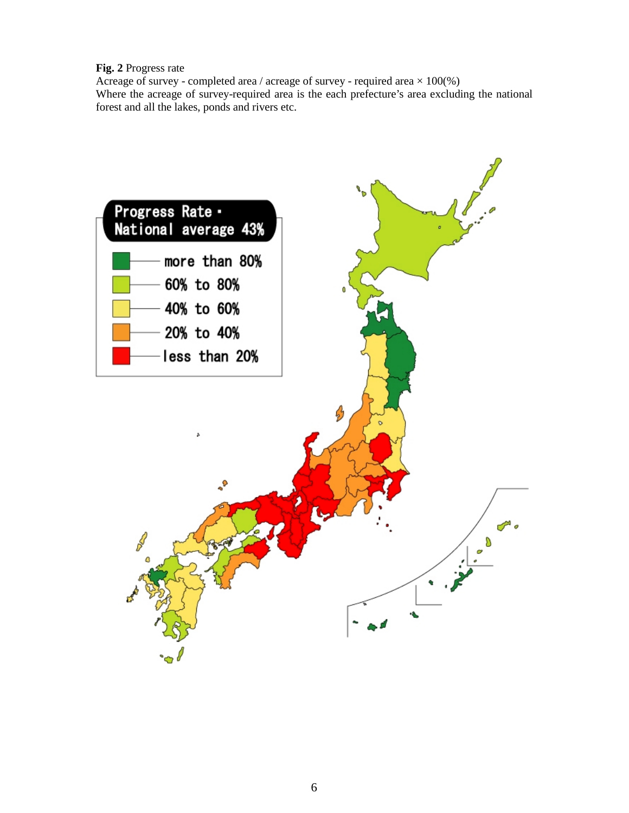**Fig. 2** Progress rate

Acreage of survey - completed area / acreage of survey - required area  $\times$  100(%) Where the acreage of survey-required area is the each prefecture's area excluding the national forest and all the lakes, ponds and rivers etc.

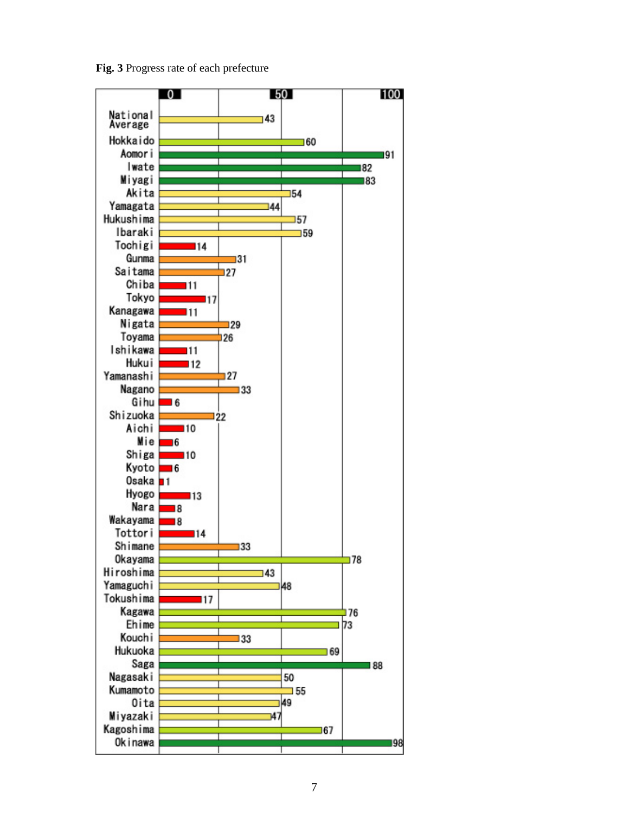**Fig. 3** Progress rate of each prefecture

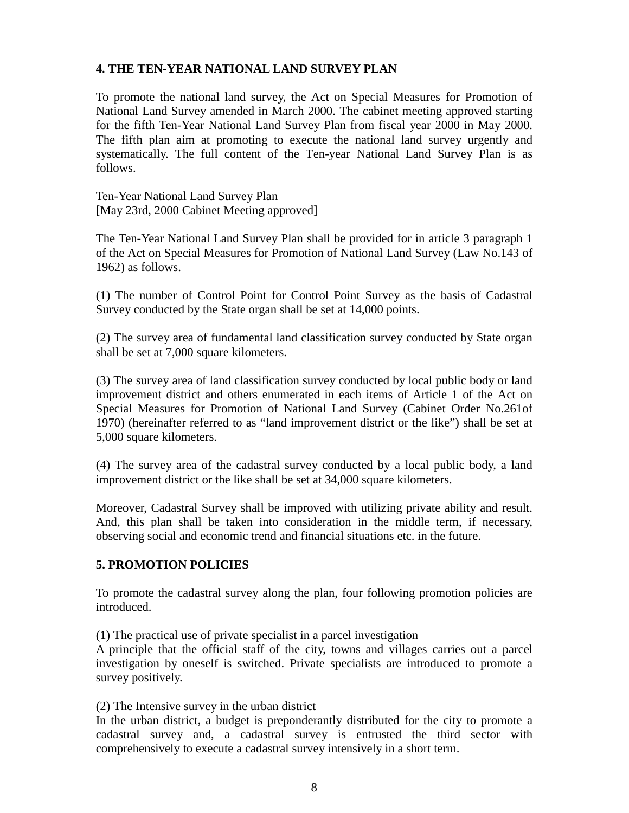## **4. THE TEN-YEAR NATIONAL LAND SURVEY PLAN**

To promote the national land survey, the Act on Special Measures for Promotion of National Land Survey amended in March 2000. The cabinet meeting approved starting for the fifth Ten-Year National Land Survey Plan from fiscal year 2000 in May 2000. The fifth plan aim at promoting to execute the national land survey urgently and systematically. The full content of the Ten-year National Land Survey Plan is as follows.

Ten-Year National Land Survey Plan [May 23rd, 2000 Cabinet Meeting approved]

The Ten-Year National Land Survey Plan shall be provided for in article 3 paragraph 1 of the Act on Special Measures for Promotion of National Land Survey (Law No.143 of 1962) as follows.

(1) The number of Control Point for Control Point Survey as the basis of Cadastral Survey conducted by the State organ shall be set at 14,000 points.

(2) The survey area of fundamental land classification survey conducted by State organ shall be set at 7,000 square kilometers.

(3) The survey area of land classification survey conducted by local public body or land improvement district and others enumerated in each items of Article 1 of the Act on Special Measures for Promotion of National Land Survey (Cabinet Order No.261of 1970) (hereinafter referred to as "land improvement district or the like") shall be set at 5,000 square kilometers.

(4) The survey area of the cadastral survey conducted by a local public body, a land improvement district or the like shall be set at 34,000 square kilometers.

Moreover, Cadastral Survey shall be improved with utilizing private ability and result. And, this plan shall be taken into consideration in the middle term, if necessary, observing social and economic trend and financial situations etc. in the future.

## **5. PROMOTION POLICIES**

To promote the cadastral survey along the plan, four following promotion policies are introduced.

(1) The practical use of private specialist in a parcel investigation

A principle that the official staff of the city, towns and villages carries out a parcel investigation by oneself is switched. Private specialists are introduced to promote a survey positively.

#### (2) The Intensive survey in the urban district

In the urban district, a budget is preponderantly distributed for the city to promote a cadastral survey and, a cadastral survey is entrusted the third sector with comprehensively to execute a cadastral survey intensively in a short term.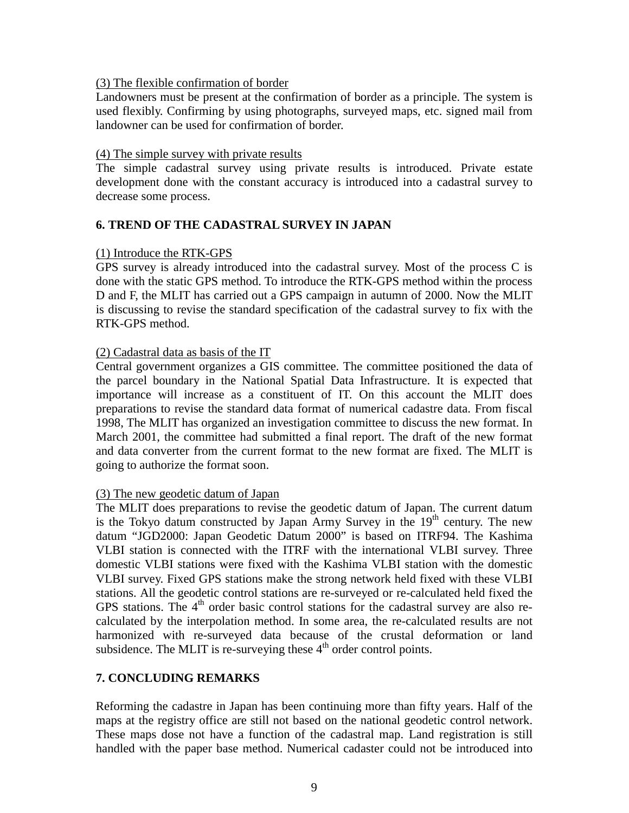#### (3) The flexible confirmation of border

Landowners must be present at the confirmation of border as a principle. The system is used flexibly. Confirming by using photographs, surveyed maps, etc. signed mail from landowner can be used for confirmation of border.

#### (4) The simple survey with private results

The simple cadastral survey using private results is introduced. Private estate development done with the constant accuracy is introduced into a cadastral survey to decrease some process.

#### **6. TREND OF THE CADASTRAL SURVEY IN JAPAN**

#### (1) Introduce the RTK-GPS

GPS survey is already introduced into the cadastral survey. Most of the process C is done with the static GPS method. To introduce the RTK-GPS method within the process D and F, the MLIT has carried out a GPS campaign in autumn of 2000. Now the MLIT is discussing to revise the standard specification of the cadastral survey to fix with the RTK-GPS method.

## (2) Cadastral data as basis of the IT

Central government organizes a GIS committee. The committee positioned the data of the parcel boundary in the National Spatial Data Infrastructure. It is expected that importance will increase as a constituent of IT. On this account the MLIT does preparations to revise the standard data format of numerical cadastre data. From fiscal 1998, The MLIT has organized an investigation committee to discuss the new format. In March 2001, the committee had submitted a final report. The draft of the new format and data converter from the current format to the new format are fixed. The MLIT is going to authorize the format soon.

#### (3) The new geodetic datum of Japan

The MLIT does preparations to revise the geodetic datum of Japan. The current datum is the Tokyo datum constructed by Japan Army Survey in the  $19<sup>th</sup>$  century. The new datum "JGD2000: Japan Geodetic Datum 2000" is based on ITRF94. The Kashima VLBI station is connected with the ITRF with the international VLBI survey. Three domestic VLBI stations were fixed with the Kashima VLBI station with the domestic VLBI survey. Fixed GPS stations make the strong network held fixed with these VLBI stations. All the geodetic control stations are re-surveyed or re-calculated held fixed the GPS stations. The  $4<sup>th</sup>$  order basic control stations for the cadastral survey are also recalculated by the interpolation method. In some area, the re-calculated results are not harmonized with re-surveyed data because of the crustal deformation or land subsidence. The MLIT is re-surveying these  $4<sup>th</sup>$  order control points.

## **7. CONCLUDING REMARKS**

Reforming the cadastre in Japan has been continuing more than fifty years. Half of the maps at the registry office are still not based on the national geodetic control network. These maps dose not have a function of the cadastral map. Land registration is still handled with the paper base method. Numerical cadaster could not be introduced into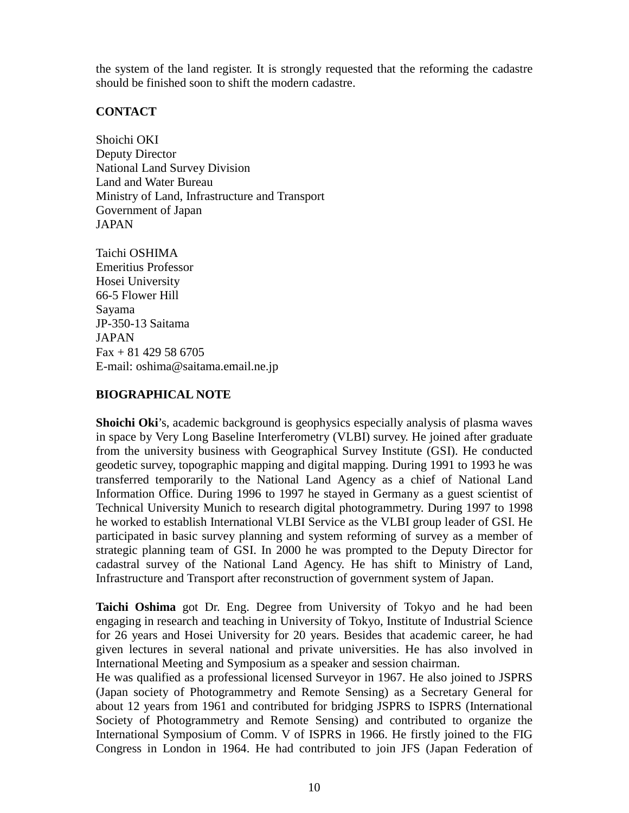the system of the land register. It is strongly requested that the reforming the cadastre should be finished soon to shift the modern cadastre.

### **CONTACT**

Shoichi OKI Deputy Director National Land Survey Division Land and Water Bureau Ministry of Land, Infrastructure and Transport Government of Japan JAPAN

Taichi OSHIMA Emeritius Professor Hosei University 66-5 Flower Hill Sayama JP-350-13 Saitama JAPAN  $Fax + 81 429 58 6705$ E-mail: oshima@saitama.email.ne.jp

#### **BIOGRAPHICAL NOTE**

**Shoichi Oki**'s, academic background is geophysics especially analysis of plasma waves in space by Very Long Baseline Interferometry (VLBI) survey. He joined after graduate from the university business with Geographical Survey Institute (GSI). He conducted geodetic survey, topographic mapping and digital mapping. During 1991 to 1993 he was transferred temporarily to the National Land Agency as a chief of National Land Information Office. During 1996 to 1997 he stayed in Germany as a guest scientist of Technical University Munich to research digital photogrammetry. During 1997 to 1998 he worked to establish International VLBI Service as the VLBI group leader of GSI. He participated in basic survey planning and system reforming of survey as a member of strategic planning team of GSI. In 2000 he was prompted to the Deputy Director for cadastral survey of the National Land Agency. He has shift to Ministry of Land, Infrastructure and Transport after reconstruction of government system of Japan.

**Taichi Oshima** got Dr. Eng. Degree from University of Tokyo and he had been engaging in research and teaching in University of Tokyo, Institute of Industrial Science for 26 years and Hosei University for 20 years. Besides that academic career, he had given lectures in several national and private universities. He has also involved in International Meeting and Symposium as a speaker and session chairman.

He was qualified as a professional licensed Surveyor in 1967. He also joined to JSPRS (Japan society of Photogrammetry and Remote Sensing) as a Secretary General for about 12 years from 1961 and contributed for bridging JSPRS to ISPRS (International Society of Photogrammetry and Remote Sensing) and contributed to organize the International Symposium of Comm. V of ISPRS in 1966. He firstly joined to the FIG Congress in London in 1964. He had contributed to join JFS (Japan Federation of